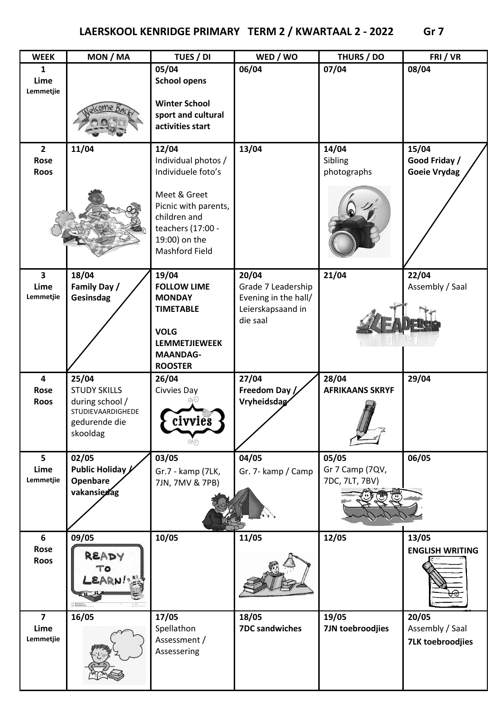| <b>WEEK</b>             | MON / MA              | TUES / DI                                  | WED / WO                    | THURS / DO             | FRI/VR                   |
|-------------------------|-----------------------|--------------------------------------------|-----------------------------|------------------------|--------------------------|
| $\mathbf{1}$            |                       | 05/04                                      | 06/04                       | 07/04                  | 08/04                    |
| Lime                    |                       | <b>School opens</b>                        |                             |                        |                          |
| Lemmetjie               |                       |                                            |                             |                        |                          |
|                         |                       | <b>Winter School</b><br>sport and cultural |                             |                        |                          |
|                         |                       | activities start                           |                             |                        |                          |
|                         |                       |                                            |                             |                        |                          |
| $\mathbf{2}$            | 11/04                 | 12/04                                      | 13/04                       | 14/04                  | 15/04                    |
| Rose                    |                       | Individual photos /                        |                             | Sibling                | Good Friday /            |
| <b>Roos</b>             |                       | Individuele foto's                         |                             | photographs            | <b>Goeie Vrydag</b>      |
|                         |                       | Meet & Greet                               |                             |                        |                          |
|                         |                       | Picnic with parents,                       |                             |                        |                          |
|                         |                       | children and                               |                             |                        |                          |
|                         |                       | teachers (17:00 -                          |                             |                        |                          |
|                         |                       | 19:00) on the                              |                             |                        |                          |
|                         |                       | <b>Mashford Field</b>                      |                             |                        |                          |
|                         |                       |                                            |                             |                        |                          |
| 3<br>Lime               | 18/04<br>Family Day / | 19/04<br><b>FOLLOW LIME</b>                | 20/04<br>Grade 7 Leadership | 21/04                  | 22/04<br>Assembly / Saal |
| Lemmetjie               | Gesinsdag             | <b>MONDAY</b>                              | Evening in the hall/        |                        |                          |
|                         |                       | <b>TIMETABLE</b>                           | Leierskapsaand in           |                        |                          |
|                         |                       |                                            | die saal                    |                        |                          |
|                         |                       | <b>VOLG</b>                                |                             |                        |                          |
|                         |                       | <b>LEMMETJIEWEEK</b>                       |                             |                        |                          |
|                         |                       | <b>MAANDAG-</b>                            |                             |                        |                          |
| $\overline{\mathbf{4}}$ | 25/04                 | <b>ROOSTER</b><br>26/04                    | 27/04                       | 28/04                  | 29/04                    |
| Rose                    | <b>STUDY SKILLS</b>   | Civvies Day                                | Freedom Day /               | <b>AFRIKAANS SKRYF</b> |                          |
| <b>Roos</b>             | during school /       |                                            | Vryheidsdag                 |                        |                          |
|                         | STUDIEVAARDIGHEDE     |                                            |                             |                        |                          |
|                         | gedurende die         | civvies                                    |                             |                        |                          |
|                         | skooldag              |                                            |                             |                        |                          |
| 5                       | 02/05                 | 03/05                                      | 04/05                       | 05/05                  | 06/05                    |
| Lime                    | Public Holiday        | Gr.7 - kamp (7LK,                          | Gr. 7- kamp / Camp          | Gr 7 Camp (7QV,        |                          |
| Lemmetjie               | Openbare              | 7JN, 7MV & 7PB)                            |                             | 7DC, 7LT, 7BV)         |                          |
|                         | vakansiedag           |                                            |                             |                        |                          |
|                         |                       |                                            |                             |                        |                          |
|                         |                       |                                            |                             |                        |                          |
| 6                       | 09/05                 | 10/05                                      | 11/05                       | 12/05                  | 13/05                    |
| Rose                    |                       |                                            |                             |                        | <b>ENGLISH WRITING</b>   |
| <b>Roos</b>             | READY                 |                                            |                             |                        |                          |
|                         | го                    |                                            |                             |                        |                          |
|                         | EARN!                 |                                            |                             |                        |                          |
|                         |                       |                                            |                             |                        |                          |
| $\overline{7}$          | 16/05                 | 17/05                                      | 18/05                       | 19/05                  | 20/05                    |
| Lime                    |                       | Spellathon                                 | <b>7DC sandwiches</b>       | 7JN toebroodjies       | Assembly / Saal          |
| Lemmetjie               |                       | Assessment /                               |                             |                        | <b>7LK toebroodjies</b>  |
|                         |                       | Assessering                                |                             |                        |                          |
|                         |                       |                                            |                             |                        |                          |
|                         |                       |                                            |                             |                        |                          |
|                         |                       |                                            |                             |                        |                          |